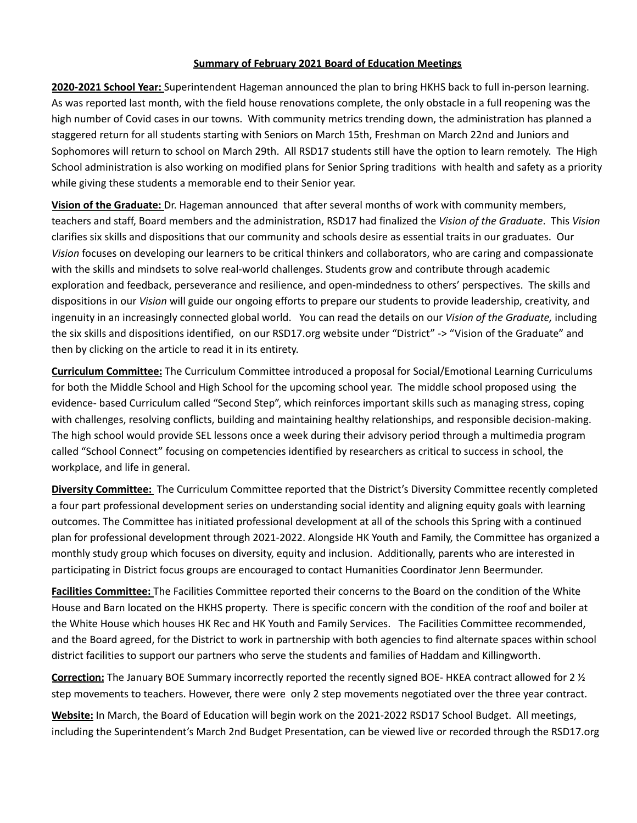## **Summary of February 2021 Board of Education Meetings**

**2020-2021 School Year:** Superintendent Hageman announced the plan to bring HKHS back to full in-person learning. As was reported last month, with the field house renovations complete, the only obstacle in a full reopening was the high number of Covid cases in our towns. With community metrics trending down, the administration has planned a staggered return for all students starting with Seniors on March 15th, Freshman on March 22nd and Juniors and Sophomores will return to school on March 29th. All RSD17 students still have the option to learn remotely. The High School administration is also working on modified plans for Senior Spring traditions with health and safety as a priority while giving these students a memorable end to their Senior year.

**Vision of the Graduate:** Dr. Hageman announced that after several months of work with community members, teachers and staff, Board members and the administration, RSD17 had finalized the *Vision of the Graduate*. This *Vision* clarifies six skills and dispositions that our community and schools desire as essential traits in our graduates. Our *Vision* focuses on developing our learners to be critical thinkers and collaborators, who are caring and compassionate with the skills and mindsets to solve real-world challenges. Students grow and contribute through academic exploration and feedback, perseverance and resilience, and open-mindedness to others' perspectives. The skills and dispositions in our *Vision* will guide our ongoing efforts to prepare our students to provide leadership, creativity, and ingenuity in an increasingly connected global world. You can read the details on our *Vision of the Graduate,* including the six skills and dispositions identified, on our RSD17.org website under "District" -> "Vision of the Graduate" and then by clicking on the article to read it in its entirety.

**Curriculum Committee:** The Curriculum Committee introduced a proposal for Social/Emotional Learning Curriculums for both the Middle School and High School for the upcoming school year. The middle school proposed using the evidence- based Curriculum called "Second Step", which reinforces important skills such as managing stress, coping with challenges, resolving conflicts, building and maintaining healthy relationships, and responsible decision-making. The high school would provide SEL lessons once a week during their advisory period through a multimedia program called "School Connect" focusing on competencies identified by researchers as critical to success in school, the workplace, and life in general.

**Diversity Committee:** The Curriculum Committee reported that the District's Diversity Committee recently completed a four part professional development series on understanding social identity and aligning equity goals with learning outcomes. The Committee has initiated professional development at all of the schools this Spring with a continued plan for professional development through 2021-2022. Alongside HK Youth and Family, the Committee has organized a monthly study group which focuses on diversity, equity and inclusion. Additionally, parents who are interested in participating in District focus groups are encouraged to contact Humanities Coordinator Jenn Beermunder.

**Facilities Committee:** The Facilities Committee reported their concerns to the Board on the condition of the White House and Barn located on the HKHS property. There is specific concern with the condition of the roof and boiler at the White House which houses HK Rec and HK Youth and Family Services. The Facilities Committee recommended, and the Board agreed, for the District to work in partnership with both agencies to find alternate spaces within school district facilities to support our partners who serve the students and families of Haddam and Killingworth.

**Correction:** The January BOE Summary incorrectly reported the recently signed BOE- HKEA contract allowed for 2 ½ step movements to teachers. However, there were only 2 step movements negotiated over the three year contract.

**Website:** In March, the Board of Education will begin work on the 2021-2022 RSD17 School Budget. All meetings, including the Superintendent's March 2nd Budget Presentation, can be viewed live or recorded through the RSD17.org